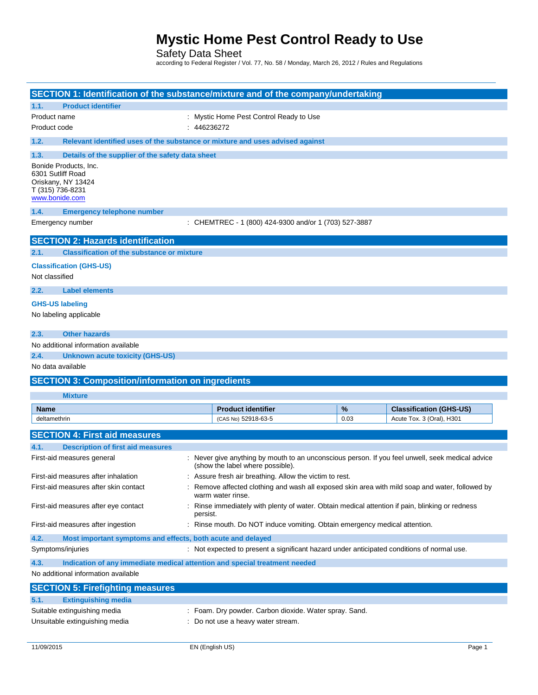Safety Data Sheet

according to Federal Register / Vol. 77, No. 58 / Monday, March 26, 2012 / Rules and Regulations

| SECTION 1: Identification of the substance/mixture and of the company/undertaking                      |                                                                                                                    |                                                                                                                                      |      |                                |
|--------------------------------------------------------------------------------------------------------|--------------------------------------------------------------------------------------------------------------------|--------------------------------------------------------------------------------------------------------------------------------------|------|--------------------------------|
| <b>Product identifier</b><br>1.1.                                                                      |                                                                                                                    |                                                                                                                                      |      |                                |
| Product name                                                                                           |                                                                                                                    | : Mystic Home Pest Control Ready to Use                                                                                              |      |                                |
| Product code                                                                                           | : 446236272                                                                                                        |                                                                                                                                      |      |                                |
| 1.2.<br>Relevant identified uses of the substance or mixture and uses advised against                  |                                                                                                                    |                                                                                                                                      |      |                                |
| 1.3.<br>Details of the supplier of the safety data sheet                                               |                                                                                                                    |                                                                                                                                      |      |                                |
| Bonide Products, Inc.<br>6301 Sutliff Road<br>Oriskany, NY 13424<br>T (315) 736-8231<br>www.bonide.com |                                                                                                                    |                                                                                                                                      |      |                                |
| 1.4.<br><b>Emergency telephone number</b>                                                              |                                                                                                                    |                                                                                                                                      |      |                                |
| Emergency number                                                                                       |                                                                                                                    | : CHEMTREC - 1 (800) 424-9300 and/or 1 (703) 527-3887                                                                                |      |                                |
| <b>SECTION 2: Hazards identification</b>                                                               |                                                                                                                    |                                                                                                                                      |      |                                |
| <b>Classification of the substance or mixture</b><br>2.1.                                              |                                                                                                                    |                                                                                                                                      |      |                                |
| <b>Classification (GHS-US)</b>                                                                         |                                                                                                                    |                                                                                                                                      |      |                                |
| Not classified                                                                                         |                                                                                                                    |                                                                                                                                      |      |                                |
| 2.2.<br><b>Label elements</b>                                                                          |                                                                                                                    |                                                                                                                                      |      |                                |
| <b>GHS-US labeling</b>                                                                                 |                                                                                                                    |                                                                                                                                      |      |                                |
| No labeling applicable                                                                                 |                                                                                                                    |                                                                                                                                      |      |                                |
|                                                                                                        |                                                                                                                    |                                                                                                                                      |      |                                |
| <b>Other hazards</b><br>2.3.                                                                           |                                                                                                                    |                                                                                                                                      |      |                                |
| No additional information available                                                                    |                                                                                                                    |                                                                                                                                      |      |                                |
| 2.4.<br><b>Unknown acute toxicity (GHS-US)</b>                                                         |                                                                                                                    |                                                                                                                                      |      |                                |
| No data available                                                                                      |                                                                                                                    |                                                                                                                                      |      |                                |
| <b>SECTION 3: Composition/information on ingredients</b>                                               |                                                                                                                    |                                                                                                                                      |      |                                |
| <b>Mixture</b>                                                                                         |                                                                                                                    |                                                                                                                                      |      |                                |
| <b>Name</b>                                                                                            |                                                                                                                    | <b>Product identifier</b>                                                                                                            | %    | <b>Classification (GHS-US)</b> |
| deltamethrin                                                                                           |                                                                                                                    | (CAS No) 52918-63-5                                                                                                                  | 0.03 | Acute Tox. 3 (Oral), H301      |
| <b>SECTION 4: First aid measures</b>                                                                   |                                                                                                                    |                                                                                                                                      |      |                                |
| <b>Description of first aid measures</b><br>4.1.                                                       |                                                                                                                    |                                                                                                                                      |      |                                |
| First-aid measures general                                                                             |                                                                                                                    | : Never give anything by mouth to an unconscious person. If you feel unwell, seek medical advice<br>(show the label where possible). |      |                                |
| First-aid measures after inhalation                                                                    |                                                                                                                    | Assure fresh air breathing. Allow the victim to rest.                                                                                |      |                                |
| First-aid measures after skin contact                                                                  | Remove affected clothing and wash all exposed skin area with mild soap and water, followed by<br>warm water rinse. |                                                                                                                                      |      |                                |
| First-aid measures after eye contact                                                                   | Rinse immediately with plenty of water. Obtain medical attention if pain, blinking or redness<br>persist.          |                                                                                                                                      |      |                                |
| First-aid measures after ingestion                                                                     |                                                                                                                    | : Rinse mouth. Do NOT induce vomiting. Obtain emergency medical attention.                                                           |      |                                |
| 4.2.                                                                                                   | Most important symptoms and effects, both acute and delayed                                                        |                                                                                                                                      |      |                                |
| Symptoms/injuries                                                                                      |                                                                                                                    | : Not expected to present a significant hazard under anticipated conditions of normal use.                                           |      |                                |
| 4.3.<br>Indication of any immediate medical attention and special treatment needed                     |                                                                                                                    |                                                                                                                                      |      |                                |
| No additional information available                                                                    |                                                                                                                    |                                                                                                                                      |      |                                |
| <b>SECTION 5: Firefighting measures</b>                                                                |                                                                                                                    |                                                                                                                                      |      |                                |
| <b>Extinguishing media</b><br>5.1.                                                                     |                                                                                                                    |                                                                                                                                      |      |                                |
| Suitable extinguishing media                                                                           |                                                                                                                    | Foam. Dry powder. Carbon dioxide. Water spray. Sand.                                                                                 |      |                                |
| Unsuitable extinguishing media                                                                         |                                                                                                                    | Do not use a heavy water stream.                                                                                                     |      |                                |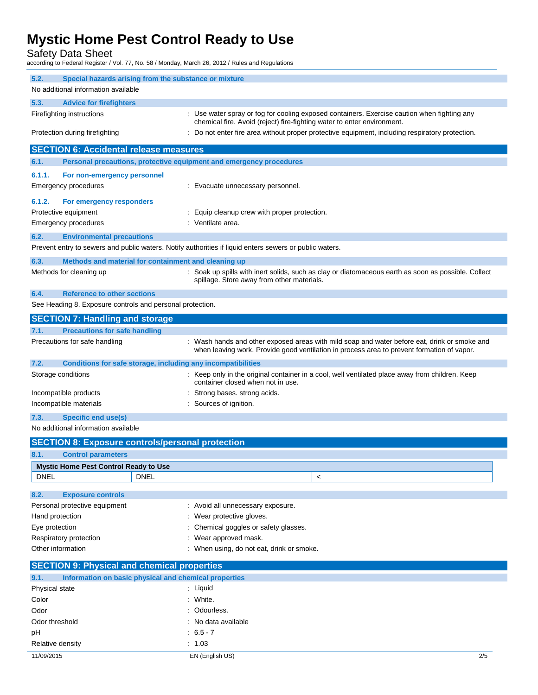Safety Data Sheet

according to Federal Register / Vol. 77, No. 58 / Monday, March 26, 2012 / Rules and Regulations

| 5.2.<br>Special hazards arising from the substance or mixture<br>No additional information available    |                                                                                                                                                                                            |  |  |
|---------------------------------------------------------------------------------------------------------|--------------------------------------------------------------------------------------------------------------------------------------------------------------------------------------------|--|--|
| 5.3.<br><b>Advice for firefighters</b>                                                                  |                                                                                                                                                                                            |  |  |
| Firefighting instructions                                                                               | Use water spray or fog for cooling exposed containers. Exercise caution when fighting any<br>chemical fire. Avoid (reject) fire-fighting water to enter environment.                       |  |  |
| Protection during firefighting                                                                          | Do not enter fire area without proper protective equipment, including respiratory protection.                                                                                              |  |  |
| <b>SECTION 6: Accidental release measures</b>                                                           |                                                                                                                                                                                            |  |  |
| Personal precautions, protective equipment and emergency procedures<br>6.1.                             |                                                                                                                                                                                            |  |  |
|                                                                                                         |                                                                                                                                                                                            |  |  |
| 6.1.1.<br>For non-emergency personnel                                                                   |                                                                                                                                                                                            |  |  |
| Emergency procedures                                                                                    | : Evacuate unnecessary personnel.                                                                                                                                                          |  |  |
| 6.1.2.<br>For emergency responders                                                                      |                                                                                                                                                                                            |  |  |
| Protective equipment                                                                                    | Equip cleanup crew with proper protection.                                                                                                                                                 |  |  |
| <b>Emergency procedures</b>                                                                             | : Ventilate area.                                                                                                                                                                          |  |  |
| 6.2.<br><b>Environmental precautions</b>                                                                |                                                                                                                                                                                            |  |  |
| Prevent entry to sewers and public waters. Notify authorities if liquid enters sewers or public waters. |                                                                                                                                                                                            |  |  |
|                                                                                                         |                                                                                                                                                                                            |  |  |
| 6.3.<br>Methods and material for containment and cleaning up                                            |                                                                                                                                                                                            |  |  |
| Methods for cleaning up                                                                                 | : Soak up spills with inert solids, such as clay or diatomaceous earth as soon as possible. Collect<br>spillage. Store away from other materials.                                          |  |  |
| 6.4.<br><b>Reference to other sections</b>                                                              |                                                                                                                                                                                            |  |  |
| See Heading 8. Exposure controls and personal protection.                                               |                                                                                                                                                                                            |  |  |
| <b>SECTION 7: Handling and storage</b>                                                                  |                                                                                                                                                                                            |  |  |
| 7.1.<br><b>Precautions for safe handling</b>                                                            |                                                                                                                                                                                            |  |  |
|                                                                                                         |                                                                                                                                                                                            |  |  |
| Precautions for safe handling                                                                           | : Wash hands and other exposed areas with mild soap and water before eat, drink or smoke and<br>when leaving work. Provide good ventilation in process area to prevent formation of vapor. |  |  |
| 7.2.<br>Conditions for safe storage, including any incompatibilities                                    |                                                                                                                                                                                            |  |  |
| Storage conditions                                                                                      | : Keep only in the original container in a cool, well ventilated place away from children. Keep<br>container closed when not in use.                                                       |  |  |
| Incompatible products                                                                                   | Strong bases. strong acids.                                                                                                                                                                |  |  |
| Incompatible materials                                                                                  | Sources of ignition.                                                                                                                                                                       |  |  |
| 7.3.<br><b>Specific end use(s)</b>                                                                      |                                                                                                                                                                                            |  |  |
| No additional information available                                                                     |                                                                                                                                                                                            |  |  |
| <b>SECTION 8: Exposure controls/personal protection</b>                                                 |                                                                                                                                                                                            |  |  |
| 8.1.<br><b>Control parameters</b>                                                                       |                                                                                                                                                                                            |  |  |
| <b>Mystic Home Pest Control Ready to Use</b>                                                            |                                                                                                                                                                                            |  |  |
| <b>DNEL</b><br>DNEL                                                                                     | $\,<\,$                                                                                                                                                                                    |  |  |
|                                                                                                         |                                                                                                                                                                                            |  |  |
| 8.2.<br><b>Exposure controls</b>                                                                        |                                                                                                                                                                                            |  |  |
| Personal protective equipment                                                                           | : Avoid all unnecessary exposure.                                                                                                                                                          |  |  |
| Hand protection                                                                                         | : Wear protective gloves.                                                                                                                                                                  |  |  |
| Eye protection                                                                                          | Chemical goggles or safety glasses.                                                                                                                                                        |  |  |
| Respiratory protection                                                                                  | Wear approved mask.                                                                                                                                                                        |  |  |
| Other information                                                                                       | : When using, do not eat, drink or smoke.                                                                                                                                                  |  |  |
| <b>SECTION 9: Physical and chemical properties</b>                                                      |                                                                                                                                                                                            |  |  |
| Information on basic physical and chemical properties                                                   |                                                                                                                                                                                            |  |  |
| 9.1.                                                                                                    |                                                                                                                                                                                            |  |  |
| Physical state                                                                                          | : Liquid                                                                                                                                                                                   |  |  |
| Color                                                                                                   | : White.                                                                                                                                                                                   |  |  |
| Odor                                                                                                    | Odourless.                                                                                                                                                                                 |  |  |
| Odor threshold                                                                                          | : No data available                                                                                                                                                                        |  |  |
| рH                                                                                                      | $: 6.5 - 7$                                                                                                                                                                                |  |  |
| Relative density                                                                                        | : 1.03                                                                                                                                                                                     |  |  |
| 11/09/2015                                                                                              | EN (English US)<br>2/5                                                                                                                                                                     |  |  |
|                                                                                                         |                                                                                                                                                                                            |  |  |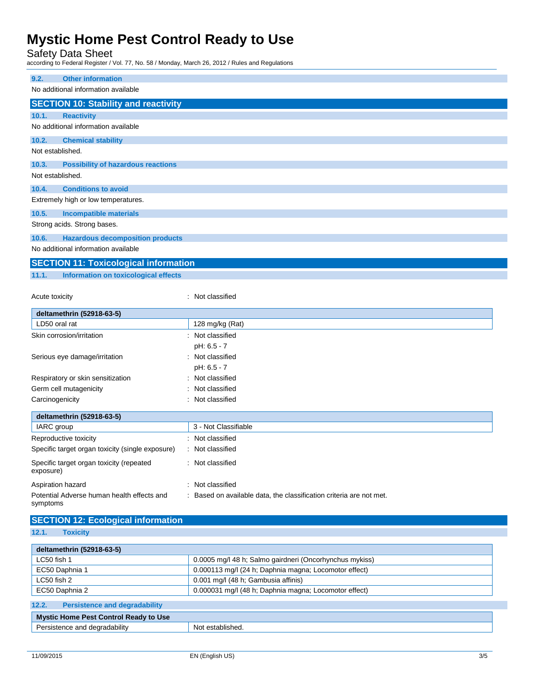Safety Data Sheet

according to Federal Register / Vol. 77, No. 58 / Monday, March 26, 2012 / Rules and Regulations

| 9.2.             | <b>Other information</b>                     |                  |
|------------------|----------------------------------------------|------------------|
|                  | No additional information available          |                  |
|                  | <b>SECTION 10: Stability and reactivity</b>  |                  |
| 10.1.            | <b>Reactivity</b>                            |                  |
|                  | No additional information available          |                  |
| 10.2.            | <b>Chemical stability</b>                    |                  |
| Not established. |                                              |                  |
| 10.3.            | <b>Possibility of hazardous reactions</b>    |                  |
| Not established. |                                              |                  |
| 10.4.            | <b>Conditions to avoid</b>                   |                  |
|                  | Extremely high or low temperatures.          |                  |
| 10.5.            | <b>Incompatible materials</b>                |                  |
|                  | Strong acids. Strong bases.                  |                  |
| 10.6.            | <b>Hazardous decomposition products</b>      |                  |
|                  | No additional information available          |                  |
|                  | <b>SECTION 11: Toxicological information</b> |                  |
| 11.1.            | Information on toxicological effects         |                  |
|                  |                                              |                  |
| Acute toxicity   |                                              | : Not classified |
|                  |                                              |                  |

| deltamethrin (52918-63-5)                             |                      |
|-------------------------------------------------------|----------------------|
| LD50 oral rat                                         | 128 mg/kg (Rat)      |
| Skin corrosion/irritation                             | : Not classified     |
|                                                       | pH: 6.5 - 7          |
| Serious eye damage/irritation                         | : Not classified     |
|                                                       | pH: 6.5 - 7          |
| Respiratory or skin sensitization                     | : Not classified     |
| Germ cell mutagenicity                                | : Not classified     |
| Carcinogenicity                                       | Not classified<br>÷  |
| deltamethrin (52918-63-5)                             |                      |
| IARC group                                            | 3 - Not Classifiable |
| Reproductive toxicity                                 | : Not classified     |
| Specific target organ toxicity (single exposure)      | : Not classified     |
| Specific target organ toxicity (repeated<br>exposure) | : Not classified     |
| Aspiration hazard                                     | : Not classified     |

#### **SECTION 12: Ecological information**

Potential Adverse human health effects and

**12.1. Toxicity**

symptoms

| deltamethrin (52918-63-5)                                              |                                                       |  |  |
|------------------------------------------------------------------------|-------------------------------------------------------|--|--|
| 0.0005 mg/l 48 h; Salmo gairdneri (Oncorhynchus mykiss)<br>LC50 fish 1 |                                                       |  |  |
| EC50 Daphnia 1                                                         | 0.000113 mg/l (24 h; Daphnia magna; Locomotor effect) |  |  |
| LC50 fish 2                                                            | 0.001 mg/l (48 h; Gambusia affinis)                   |  |  |
| EC50 Daphnia 2                                                         | 0.000031 mg/l (48 h; Daphnia magna; Locomotor effect) |  |  |
| 12.2.<br><b>Persistence and degradability</b>                          |                                                       |  |  |
| <b>Mystic Home Pest Control Ready to Use</b>                           |                                                       |  |  |
| Persistence and degradability                                          | Not established.                                      |  |  |

: Based on available data, the classification criteria are not met.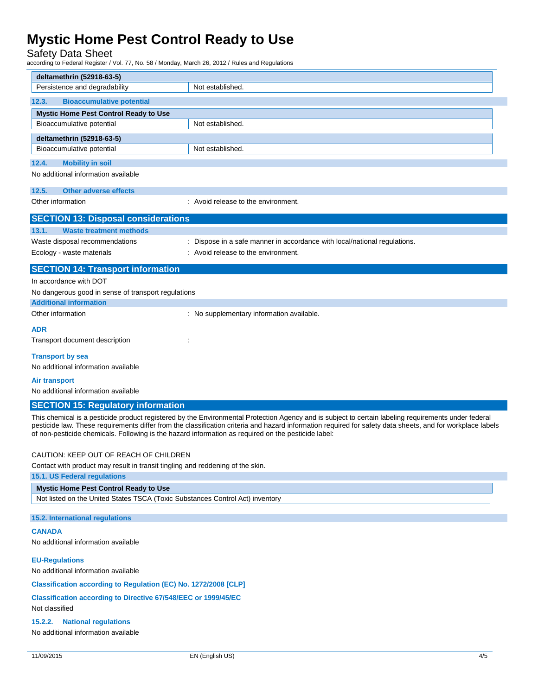# Safety Data Sheet<br>according to Federal Register / \

| iccording to Federal Register / Vol. 77, No. 58 / Monday, March 26, 2012 / Rules and Regulations    |                                                                                                                                                                                                                                                                                                                    |  |  |
|-----------------------------------------------------------------------------------------------------|--------------------------------------------------------------------------------------------------------------------------------------------------------------------------------------------------------------------------------------------------------------------------------------------------------------------|--|--|
| deltamethrin (52918-63-5)                                                                           |                                                                                                                                                                                                                                                                                                                    |  |  |
| Persistence and degradability                                                                       | Not established.                                                                                                                                                                                                                                                                                                   |  |  |
| 12.3.<br><b>Bioaccumulative potential</b>                                                           |                                                                                                                                                                                                                                                                                                                    |  |  |
| Mystic Home Pest Control Ready to Use                                                               |                                                                                                                                                                                                                                                                                                                    |  |  |
| Bioaccumulative potential                                                                           | Not established.                                                                                                                                                                                                                                                                                                   |  |  |
| deltamethrin (52918-63-5)                                                                           |                                                                                                                                                                                                                                                                                                                    |  |  |
| Bioaccumulative potential                                                                           | Not established.                                                                                                                                                                                                                                                                                                   |  |  |
| 12.4.<br><b>Mobility in soil</b>                                                                    |                                                                                                                                                                                                                                                                                                                    |  |  |
| No additional information available                                                                 |                                                                                                                                                                                                                                                                                                                    |  |  |
|                                                                                                     |                                                                                                                                                                                                                                                                                                                    |  |  |
| 12.5.<br><b>Other adverse effects</b>                                                               |                                                                                                                                                                                                                                                                                                                    |  |  |
| Other information                                                                                   | : Avoid release to the environment.                                                                                                                                                                                                                                                                                |  |  |
| <b>SECTION 13: Disposal considerations</b>                                                          |                                                                                                                                                                                                                                                                                                                    |  |  |
| 13.1.<br><b>Waste treatment methods</b>                                                             |                                                                                                                                                                                                                                                                                                                    |  |  |
| Waste disposal recommendations                                                                      | : Dispose in a safe manner in accordance with local/national regulations.                                                                                                                                                                                                                                          |  |  |
| Ecology - waste materials                                                                           | : Avoid release to the environment.                                                                                                                                                                                                                                                                                |  |  |
| <b>SECTION 14: Transport information</b>                                                            |                                                                                                                                                                                                                                                                                                                    |  |  |
| In accordance with DOT                                                                              |                                                                                                                                                                                                                                                                                                                    |  |  |
| No dangerous good in sense of transport regulations                                                 |                                                                                                                                                                                                                                                                                                                    |  |  |
| <b>Additional information</b>                                                                       |                                                                                                                                                                                                                                                                                                                    |  |  |
| Other information                                                                                   | : No supplementary information available.                                                                                                                                                                                                                                                                          |  |  |
| <b>ADR</b>                                                                                          |                                                                                                                                                                                                                                                                                                                    |  |  |
| Transport document description                                                                      |                                                                                                                                                                                                                                                                                                                    |  |  |
| <b>Transport by sea</b>                                                                             |                                                                                                                                                                                                                                                                                                                    |  |  |
| No additional information available                                                                 |                                                                                                                                                                                                                                                                                                                    |  |  |
|                                                                                                     |                                                                                                                                                                                                                                                                                                                    |  |  |
| <b>Air transport</b><br>No additional information available                                         |                                                                                                                                                                                                                                                                                                                    |  |  |
|                                                                                                     |                                                                                                                                                                                                                                                                                                                    |  |  |
| <b>SECTION 15: Regulatory information</b>                                                           |                                                                                                                                                                                                                                                                                                                    |  |  |
| of non-pesticide chemicals. Following is the hazard information as required on the pesticide label: | This chemical is a pesticide product registered by the Environmental Protection Agency and is subject to certain labeling requirements under federal<br>pesticide law. These requirements differ from the classification criteria and hazard information required for safety data sheets, and for workplace labels |  |  |
| CAUTION: KEEP OUT OF REACH OF CHILDREN                                                              |                                                                                                                                                                                                                                                                                                                    |  |  |
| Contact with product may result in transit tingling and reddening of the skin.                      |                                                                                                                                                                                                                                                                                                                    |  |  |
| 15.1. US Federal regulations                                                                        |                                                                                                                                                                                                                                                                                                                    |  |  |
| Mystic Home Pest Control Ready to Use                                                               |                                                                                                                                                                                                                                                                                                                    |  |  |
| Not listed on the United States TSCA (Toxic Substances Control Act) inventory                       |                                                                                                                                                                                                                                                                                                                    |  |  |
| 15.2. International regulations                                                                     |                                                                                                                                                                                                                                                                                                                    |  |  |
| <b>CANADA</b>                                                                                       |                                                                                                                                                                                                                                                                                                                    |  |  |
| No additional information available                                                                 |                                                                                                                                                                                                                                                                                                                    |  |  |
| <b>EU-Regulations</b>                                                                               |                                                                                                                                                                                                                                                                                                                    |  |  |

No additional information available

**Classification according to Regulation (EC) No. 1272/2008 [CLP]**

**Classification according to Directive 67/548/EEC or 1999/45/EC** Not classified

**15.2.2. National regulations**

No additional information available